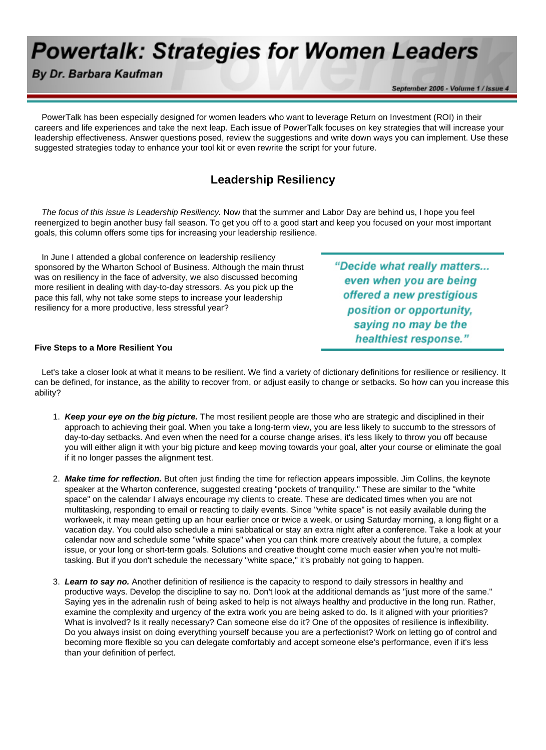# **Powertalk: Strategies for Women Leaders**

By Dr. Barbara Kaufman

September 2006 - Volume 1 / Issue 4

 PowerTalk has been especially designed for women leaders who want to leverage Return on Investment (ROI) in their careers and life experiences and take the next leap. Each issue of PowerTalk focuses on key strategies that will increase your leadership effectiveness. Answer questions posed, review the suggestions and write down ways you can implement. Use these suggested strategies today to enhance your tool kit or even rewrite the script for your future.

## **Leadership Resiliency**

 *The focus of this issue is Leadership Resiliency.* Now that the summer and Labor Day are behind us, I hope you feel reenergized to begin another busy fall season. To get you off to a good start and keep you focused on your most important goals, this column offers some tips for increasing your leadership resilience.

 In June I attended a global conference on leadership resiliency sponsored by the Wharton School of Business. Although the main thrust was on resiliency in the face of adversity, we also discussed becoming more resilient in dealing with day-to-day stressors. As you pick up the pace this fall, why not take some steps to increase your leadership resiliency for a more productive, less stressful year?

"Decide what really matters... even when you are being offered a new prestigious position or opportunity, saying no may be the healthiest response."

### **Five Steps to a More Resilient You**

 Let's take a closer look at what it means to be resilient. We find a variety of dictionary definitions for resilience or resiliency. It can be defined, for instance, as the ability to recover from, or adjust easily to change or setbacks. So how can you increase this ability?

- 1. *Keep your eye on the big picture.* The most resilient people are those who are strategic and disciplined in their approach to achieving their goal. When you take a long-term view, you are less likely to succumb to the stressors of day-to-day setbacks. And even when the need for a course change arises, it's less likely to throw you off because you will either align it with your big picture and keep moving towards your goal, alter your course or eliminate the goal if it no longer passes the alignment test.
- 2. *Make time for reflection.* But often just finding the time for reflection appears impossible. Jim Collins, the keynote speaker at the Wharton conference, suggested creating "pockets of tranquility." These are similar to the "white space" on the calendar I always encourage my clients to create. These are dedicated times when you are not multitasking, responding to email or reacting to daily events. Since "white space" is not easily available during the workweek, it may mean getting up an hour earlier once or twice a week, or using Saturday morning, a long flight or a vacation day. You could also schedule a mini sabbatical or stay an extra night after a conference. Take a look at your calendar now and schedule some "white space" when you can think more creatively about the future, a complex issue, or your long or short-term goals. Solutions and creative thought come much easier when you're not multitasking. But if you don't schedule the necessary "white space," it's probably not going to happen.
- 3. *Learn to say no.* Another definition of resilience is the capacity to respond to daily stressors in healthy and productive ways. Develop the discipline to say no. Don't look at the additional demands as "just more of the same." Saying yes in the adrenalin rush of being asked to help is not always healthy and productive in the long run. Rather, examine the complexity and urgency of the extra work you are being asked to do. Is it aligned with your priorities? What is involved? Is it really necessary? Can someone else do it? One of the opposites of resilience is inflexibility. Do you always insist on doing everything yourself because you are a perfectionist? Work on letting go of control and becoming more flexible so you can delegate comfortably and accept someone else's performance, even if it's less than your definition of perfect.